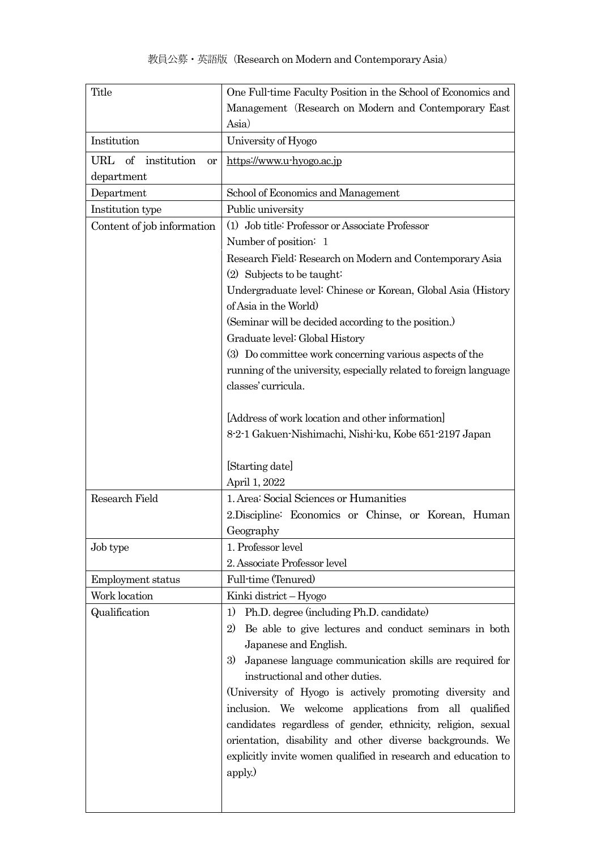| Title                       | One Full-time Faculty Position in the School of Economics and     |
|-----------------------------|-------------------------------------------------------------------|
|                             | Management (Research on Modern and Contemporary East              |
|                             | Asia)                                                             |
| Institution                 | University of Hyogo                                               |
| of institution<br>URL<br>or | https://www.u-hyogo.ac.jp                                         |
| department                  |                                                                   |
| Department                  | School of Economics and Management                                |
| Institution type            | Public university                                                 |
| Content of job information  | (1) Job title: Professor or Associate Professor                   |
|                             | Number of position: 1                                             |
|                             | Research Field: Research on Modern and Contemporary Asia          |
|                             | $(2)$ Subjects to be taught:                                      |
|                             | Undergraduate level: Chinese or Korean, Global Asia (History      |
|                             | of Asia in the World                                              |
|                             | (Seminar will be decided according to the position.)              |
|                             | Graduate level: Global History                                    |
|                             | (3) Do committee work concerning various aspects of the           |
|                             | running of the university, especially related to foreign language |
|                             | classes' curricula.                                               |
|                             |                                                                   |
|                             | Address of work location and other information                    |
|                             | 8-2-1 Gakuen-Nishimachi, Nishi-ku, Kobe 651-2197 Japan            |
|                             |                                                                   |
|                             | [Starting date]<br>April 1, 2022                                  |
| Research Field              | 1. Area: Social Sciences or Humanities                            |
|                             | 2. Discipline: Economics or Chinse, or Korean, Human              |
|                             | Geography                                                         |
| Job type                    | 1. Professor level                                                |
|                             | 2. Associate Professor level                                      |
| Employment status           | Full-time (Tenured)                                               |
| Work location               | Kinki district - Hyogo                                            |
| Qualification               | Ph.D. degree (including Ph.D. candidate)<br>1)                    |
|                             | Be able to give lectures and conduct seminars in both<br>2)       |
|                             | Japanese and English.                                             |
|                             | 3)<br>Japanese language communication skills are required for     |
|                             | instructional and other duties.                                   |
|                             | (University of Hyogo is actively promoting diversity and          |
|                             | inclusion. We welcome applications from all qualified             |
|                             | candidates regardless of gender, ethnicity, religion, sexual      |
|                             | orientation, disability and other diverse backgrounds. We         |
|                             | explicitly invite women qualified in research and education to    |
|                             | apply.)                                                           |
|                             |                                                                   |
|                             |                                                                   |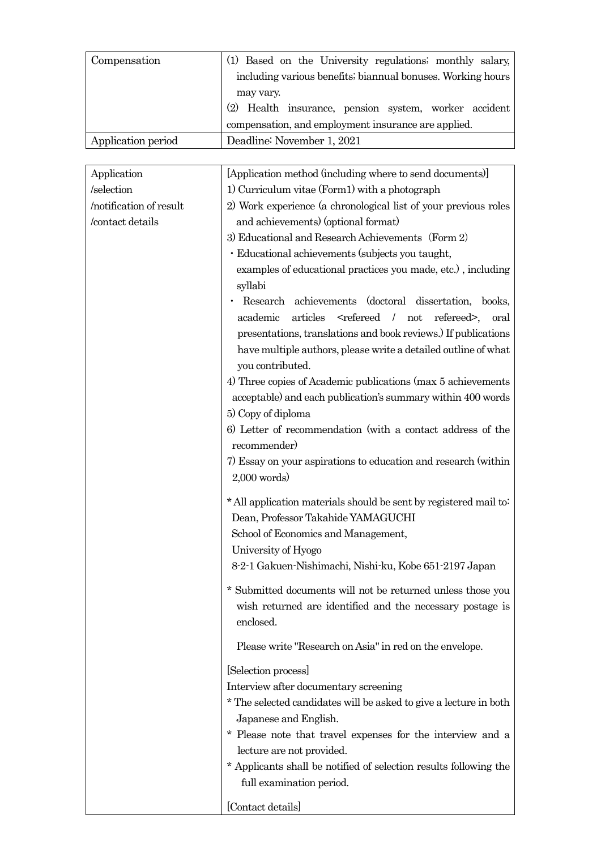| Compensation       | (1) Based on the University regulations; monthly salary,    |
|--------------------|-------------------------------------------------------------|
|                    | including various benefits; biannual bonuses. Working hours |
|                    | may vary.                                                   |
|                    | (2) Health insurance, pension system, worker accident       |
|                    | compensation, and employment insurance are applied.         |
| Application period | Deadline: November 1, 2021                                  |

| Application             | [Application method (including where to send documents)]                                                                                       |
|-------------------------|------------------------------------------------------------------------------------------------------------------------------------------------|
| /selection              | 1) Curriculum vitae (Form1) with a photograph                                                                                                  |
| /notification of result | 2) Work experience (a chronological list of your previous roles                                                                                |
| /contact details        | and achievements) (optional format)                                                                                                            |
|                         | 3) Educational and Research Achievements (Form 2)                                                                                              |
|                         | · Educational achievements (subjects you taught,                                                                                               |
|                         | examples of educational practices you made, etc.), including                                                                                   |
|                         | syllabi                                                                                                                                        |
|                         | Research achievements (doctoral dissertation, books,                                                                                           |
|                         | academic<br>articles<br><refereed not<br="">refereed&gt;,<br/>oral</refereed>                                                                  |
|                         | presentations, translations and book reviews.) If publications                                                                                 |
|                         | have multiple authors, please write a detailed outline of what                                                                                 |
|                         | you contributed.                                                                                                                               |
|                         | 4) Three copies of Academic publications (max 5 achievements                                                                                   |
|                         | acceptable) and each publication's summary within 400 words                                                                                    |
|                         | 5) Copy of diploma                                                                                                                             |
|                         | 6) Letter of recommendation (with a contact address of the                                                                                     |
|                         | recommender)                                                                                                                                   |
|                         | 7) Essay on your aspirations to education and research (within                                                                                 |
|                         | $2,000$ words)                                                                                                                                 |
|                         | * All application materials should be sent by registered mail to:<br>Dean, Professor Takahide YAMAGUCHI<br>School of Economics and Management, |
|                         | University of Hyogo                                                                                                                            |
|                         | 8-2-1 Gakuen-Nishimachi, Nishi-ku, Kobe 651-2197 Japan                                                                                         |
|                         | $^\ast$ Submitted documents will not be returned unless those you<br>wish returned are identified and the necessary postage is<br>enclosed.    |
|                         | Please write "Research on Asia" in red on the envelope.                                                                                        |
|                         | [Selection process]                                                                                                                            |
|                         | Interview after documentary screening                                                                                                          |
|                         | $^\star$ The selected candidates will be asked to give a lecture in both                                                                       |
|                         | Japanese and English.                                                                                                                          |
|                         | * Please note that travel expenses for the interview and a                                                                                     |
|                         | lecture are not provided.                                                                                                                      |
|                         | * Applicants shall be notified of selection results following the<br>full examination period.                                                  |
|                         | [Contact details]                                                                                                                              |